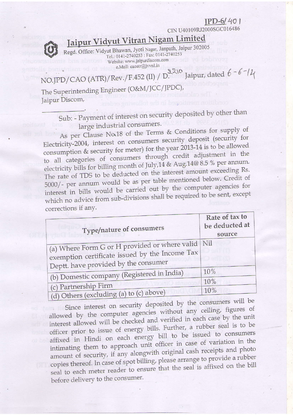## $IPD-6/401$

CIN U40109RJ2000SGC016486



Jaipur Vidyut Vitran Nigam Limited

Regd. Office: Vidyut Bhawan, Jyoti Nagar, Janpath, Jaipur 302005<br>Tel.: 0141-2740253 : Fax: 0141-2740253 Website: www.jaipurdiscom.com e.Mail: caoatr@jvvnl.in

NO.JPD/CAO (ATR)/Rev./F.452 (II) / D. Jaipur, dated  $6 - 6 - 11$ 

The Superintending Engineer (O&M/JCC/JPDC), Jaipur Discom,

> Sub: - Payment of interest on security deposited by other than large industrial consumers.

As per Clause No.18 of the Terms & Conditions for supply of Electricity-2004, interest on consumers security deposit (security for consumption & security for meter) for the year 2013-14 is to be allowed to all categories of consumers through credit adjustment in the electricity bills for billing month of July, 14 & Aug. 14@ 8.5 % per annum. The rate of TDS to be deducted on the interest amount exceeding Rs. 5000/- per annum would be as per table mentioned below. Credit of interest in bills would be carried out by the computer agencies for which no advice from sub-divisions shall be required to be sent, except corrections if any.

| Type/nature of consumers                                                                                                                            | Rate of tax to<br>be deducted at<br>source |
|-----------------------------------------------------------------------------------------------------------------------------------------------------|--------------------------------------------|
| (a) Where Form G or H provided or where valid $\vert$ Nil<br>exemption certificate issued by the Income Tax<br>Deptt. have provided by the consumer |                                            |
| (b) Domestic company (Registered in India)                                                                                                          | 10%                                        |
| (c) Partnership Firm<br>(d) Others (excluding (a) to (c) above)                                                                                     | 10%<br>10%                                 |

Since interest on security deposited by the consumers will be allowed by the computer agencies without any ceiling, figures of interest allowed will be checked and verified in each case by the unit officer prior to issue of energy bills. Further, a rubber seal is to be affixed in Hindi on each energy bill to be issued to consumers intimating them to approach unit officer in case of variation in the amount of security, if any alongwith original cash receipts and photo copies thereof. In case of spot billing, please arrange to provide a rubber seal to each meter reader to ensure that the seal is affixed on the bill before delivery to the consumer.